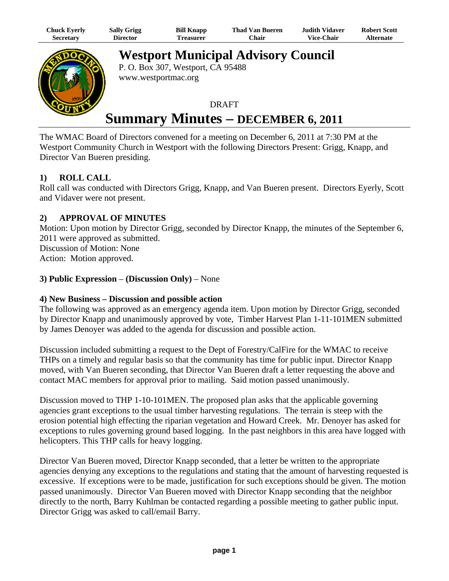| Chuck Eyerly | <b>Sally Grigg</b> | <b>Bill Knapp</b> | <b>Thad Van Bueren</b> | Judith Vidaver.   | <b>Robert Scott</b> |
|--------------|--------------------|-------------------|------------------------|-------------------|---------------------|
| Secretary    | <b>Director</b>    | l'reasurer        | ∵hair                  | <b>Vice-Chair</b> | <b>Alternate</b>    |



**Westport Municipal Advisory Council**

P. O. Box 307, Westport, CA 95488 www.westportmac.org

# **DRAFT Summary Minutes – DECEMBER 6, 2011**

The WMAC Board of Directors convened for a meeting on December 6, 2011 at 7:30 PM at the Westport Community Church in Westport with the following Directors Present: Grigg, Knapp, and Director Van Bueren presiding.

# **1) ROLL CALL**

Roll call was conducted with Directors Grigg, Knapp, and Van Bueren present. Directors Eyerly, Scott and Vidaver were not present.

# **2) APPROVAL OF MINUTES**

Motion: Upon motion by Director Grigg, seconded by Director Knapp, the minutes of the September 6, 2011 were approved as submitted. Discussion of Motion: None Action: Motion approved.

## **3) Public Expression** – **(Discussion Only)** – None

## **4) New Business – Discussion and possible action**

The following was approved as an emergency agenda item. Upon motion by Director Grigg, seconded by Director Knapp and unanimously approved by vote, Timber Harvest Plan 1-11-101MEN submitted by James Denoyer was added to the agenda for discussion and possible action.

Discussion included submitting a request to the Dept of Forestry/CalFire for the WMAC to receive THPs on a timely and regular basis so that the community has time for public input. Director Knapp moved, with Van Bueren seconding, that Director Van Bueren draft a letter requesting the above and contact MAC members for approval prior to mailing. Said motion passed unanimously.

Discussion moved to THP 1-10-101MEN. The proposed plan asks that the applicable governing agencies grant exceptions to the usual timber harvesting regulations. The terrain is steep with the erosion potential high effecting the riparian vegetation and Howard Creek. Mr. Denoyer has asked for exceptions to rules governing ground based logging. In the past neighbors in this area have logged with helicopters. This THP calls for heavy logging.

Director Van Bueren moved, Director Knapp seconded, that a letter be written to the appropriate agencies denying any exceptions to the regulations and stating that the amount of harvesting requested is excessive. If exceptions were to be made, justification for such exceptions should be given. The motion passed unanimously. Director Van Bueren moved with Director Knapp seconding that the neighbor directly to the north, Barry Kuhlman be contacted regarding a possible meeting to gather public input. Director Grigg was asked to call/email Barry.